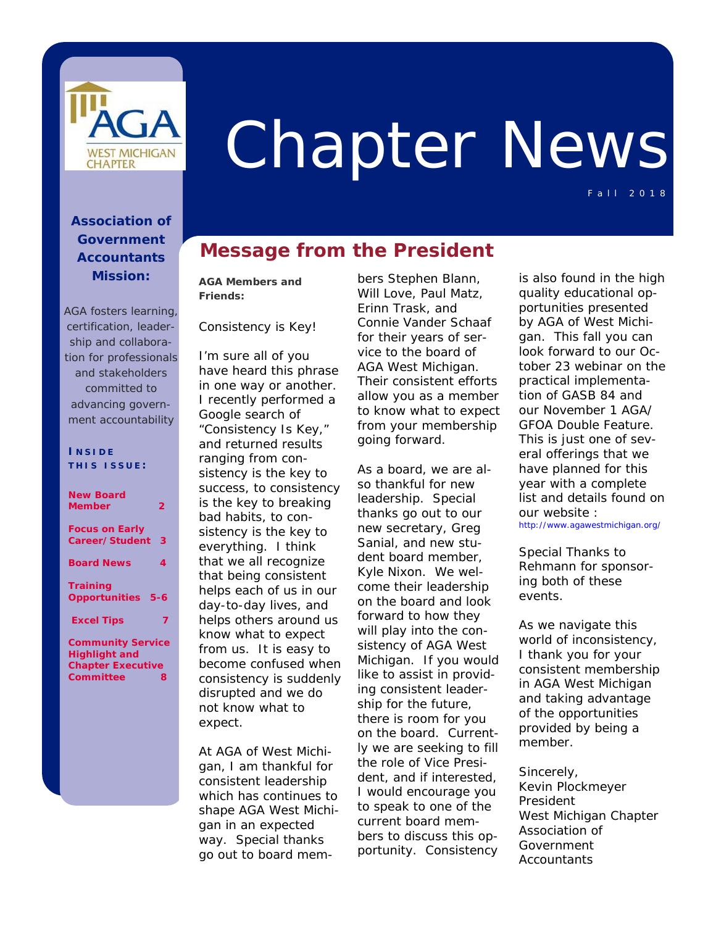

# Chapter News

Fall 2018

## **Association of Government Accountants Mission:**

*AGA fosters learning, certification, leadership and collaboration for professionals and stakeholders committed to advancing government accountability*

#### **I NSIDE THIS ISSUE :**

| <b>New Board</b><br><b>Member</b>                 | 2 |  |  |  |
|---------------------------------------------------|---|--|--|--|
| <b>Focus on Early</b><br>Career/Student           | з |  |  |  |
| <b>Board News</b>                                 | 4 |  |  |  |
| <b>Training</b><br><b>Opportunities 5-6</b>       |   |  |  |  |
| <b>Excel Tips</b>                                 | 7 |  |  |  |
| <b>Community Service</b><br><b>Lliabliabt</b> and |   |  |  |  |

**Highlight and Chapter Executive Committee 8** 

## **Message from the President**

**AGA Members and Friends:** 

Consistency is Key!

I'm sure all of you have heard this phrase in one way or another. I recently performed a Google search of "Consistency Is Key," and returned results ranging from consistency is the key to success, to consistency is the key to breaking bad habits, to consistency is the key to everything. I think that we all recognize that being consistent helps each of us in our day-to-day lives, and helps others around us know what to expect from us. It is easy to become confused when consistency is suddenly disrupted and we do not know what to expect.

At AGA of West Michigan, I am thankful for consistent leadership which has continues to shape AGA West Michigan in an expected way. Special thanks go out to board mem-

bers Stephen Blann, Will Love, Paul Matz, Erinn Trask, and Connie Vander Schaaf for their years of service to the board of AGA West Michigan. Their consistent efforts allow you as a member to know what to expect from your membership going forward.

As a board, we are also thankful for new leadership. Special thanks go out to our new secretary, Greg Sanial, and new student board member, Kyle Nixon. We welcome their leadership on the board and look forward to how they will play into the consistency of AGA West Michigan. If you would like to assist in providing consistent leadership for the future, there is room for you on the board. Currently we are seeking to fill the role of Vice President, and if interested, I would encourage you to speak to one of the current board members to discuss this opportunity. Consistency

is also found in the high quality educational opportunities presented by AGA of West Michigan. This fall you can look forward to our October 23 webinar on the practical implementation of GASB 84 and our November 1 AGA/ GFOA Double Feature. This is just one of several offerings that we have planned for this year with a complete list and details found on our website : http://www.agawestmichigan.org/

Special Thanks to Rehmann for sponsoring both of these events.

As we navigate this world of inconsistency, I thank you for your consistent membership in AGA West Michigan and taking advantage of the opportunities provided by being a member.

Sincerely, Kevin Plockmeyer President West Michigan Chapter Association of Government **Accountants**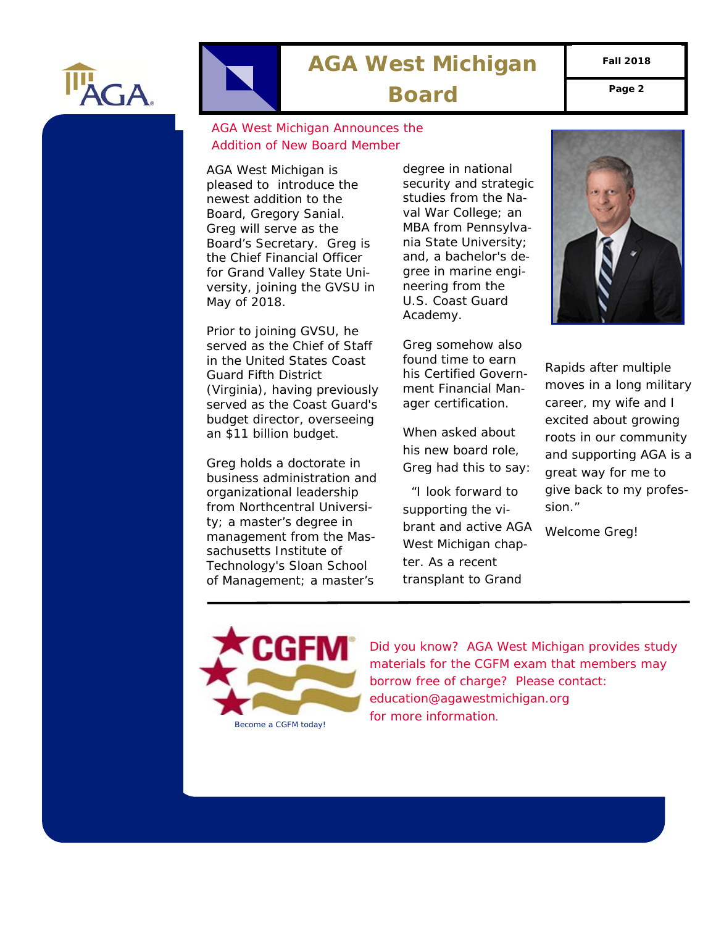

## **AGA West Michigan**

**Fall 2018** 

Board Page 2

## AGA West Michigan Announces the Addition of New Board Member

AGA West Michigan is pleased to introduce the newest addition to the Board, Gregory Sanial. Greg will serve as the Board's Secretary. Greg is the Chief Financial Officer for Grand Valley State University, joining the GVSU in May of 2018.

Prior to joining GVSU, he served as the Chief of Staff in the United States Coast Guard Fifth District (Virginia), having previously served as the Coast Guard's budget director, overseeing an \$11 billion budget.

Greg holds a doctorate in business administration and organizational leadership from Northcentral University; a master's degree in management from the Massachusetts Institute of Technology's Sloan School of Management; a master's

degree in national security and strategic studies from the Naval War College; an MBA from Pennsylvania State University; and, a bachelor's degree in marine engineering from the U.S. Coast Guard Academy.

Greg somehow also found time to earn his Certified Government Financial Manager certification.

When asked about his new board role, Greg had this to say:

 "*I look forward to supporting the vibrant and active AGA West Michigan chapter. As a recent transplant to Grand* 



*Rapids after multiple moves in a long military career, my wife and I excited about growing roots in our community and supporting AGA is a great way for me to give back to my profession."*

Welcome Greg!



*Did you know? AGA West Michigan provides study materials for the CGFM exam that members may borrow free of charge? Please contact: education@agawestmichigan.org for more information.*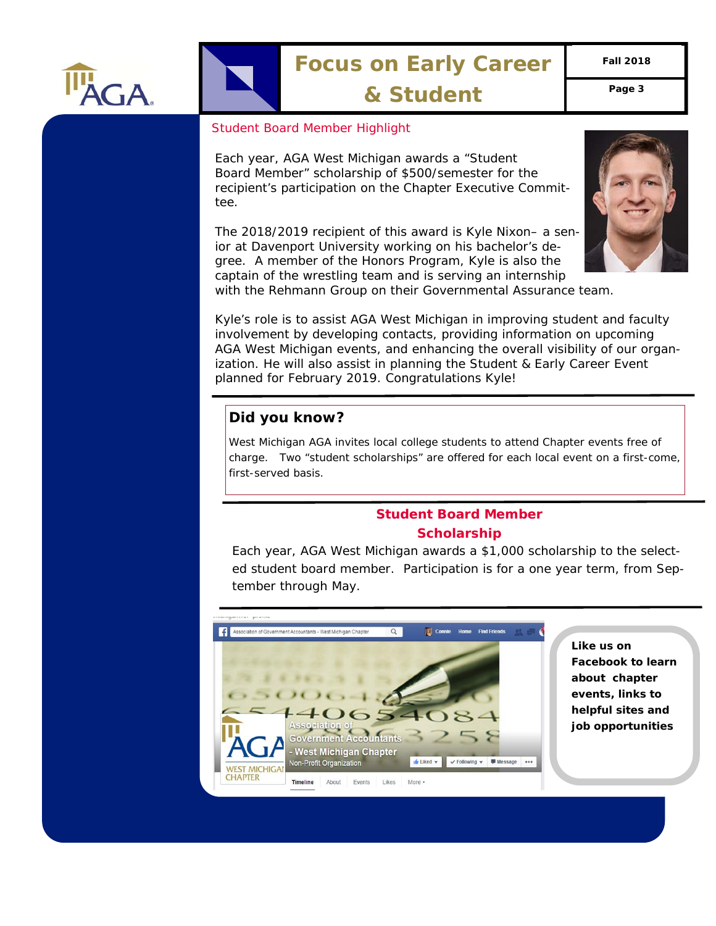

# **Focus on Early Career**

**Fall 2018** 

**& Student Page 3** 

## *Student Board Member Highlight*

Each year, AGA West Michigan awards a "Student Board Member" scholarship of \$500/semester for the recipient's participation on the Chapter Executive Committee.

The 2018/2019 recipient of this award is Kyle Nixon– a senior at Davenport University working on his bachelor's degree. A member of the Honors Program, Kyle is also the captain of the wrestling team and is serving an internship



with the Rehmann Group on their Governmental Assurance team.

Kyle's role is to assist AGA West Michigan in improving student and faculty involvement by developing contacts, providing information on upcoming AGA West Michigan events, and enhancing the overall visibility of our organization. He will also assist in planning the Student & Early Career Event planned for February 2019. Congratulations Kyle!

## **Did you know?**

West Michigan AGA invites local college students to attend Chapter events free of charge. Two "student scholarships" are offered for each local event on a first-come, first-served basis.

## **Student Board Member Scholarship**

Each year, AGA West Michigan awards a \$1,000 scholarship to the selected student board member. Participation is for a one year term, from September through May.



**Like us on Facebook to learn about chapter events, links to helpful sites and job opportunities**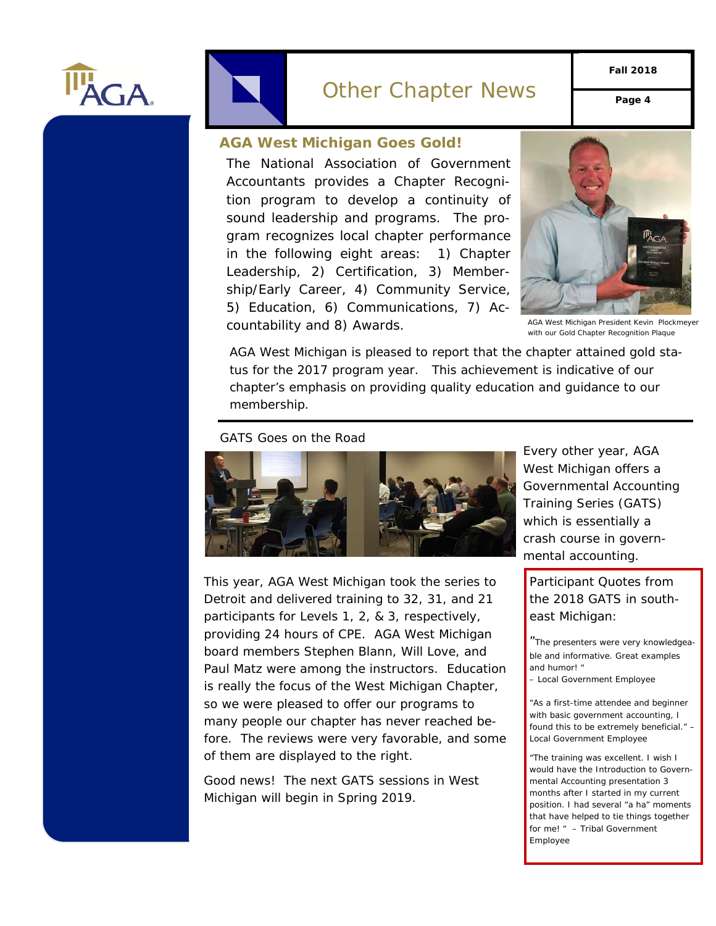



**Fall 2018** 

#### **AGA West Michigan Goes Gold!**

The National Association of Government Accountants provides a Chapter Recognition program to develop a continuity of sound leadership and programs. The program recognizes local chapter performance in the following eight areas: 1) Chapter Leadership, 2) Certification, 3) Membership/Early Career, 4) Community Service, 5) Education, 6) Communications, 7) Accountability and 8) Awards.



AGA West Michigan President Kevin Plockmeyer with our Gold Chapter Recognition Plaque

AGA West Michigan is pleased to report that the chapter attained gold status for the 2017 program year. This achievement is indicative of our chapter's emphasis on providing quality education and guidance to our membership.

#### GATS Goes on the Road



This year, AGA West Michigan took the series to Detroit and delivered training to 32, 31, and 21 participants for Levels 1, 2, & 3, respectively, providing 24 hours of CPE. AGA West Michigan board members Stephen Blann, Will Love, and Paul Matz were among the instructors. Education is really the focus of the West Michigan Chapter, so we were pleased to offer our programs to many people our chapter has never reached before. The reviews were very favorable, and some of them are displayed to the right.

Good news! The next GATS sessions in West Michigan will begin in Spring 2019.

Every other year, AGA West Michigan offers a Governmental Accounting Training Series (GATS) which is essentially a crash course in governmental accounting.

Participant Quotes from the 2018 GATS in southeast Michigan:

"*The presenters were very knowledgeable and informative. Great examples and humor! "* 

*– Local Government Employee* 

*"As a first-time attendee and beginner with basic government accounting, I found this to be extremely beneficial." – Local Government Employee* 

*"The training was excellent. I wish I would have the Introduction to Governmental Accounting presentation 3 months after I started in my current position. I had several "a ha" moments that have helped to tie things together for me! " – Tribal Government Employee*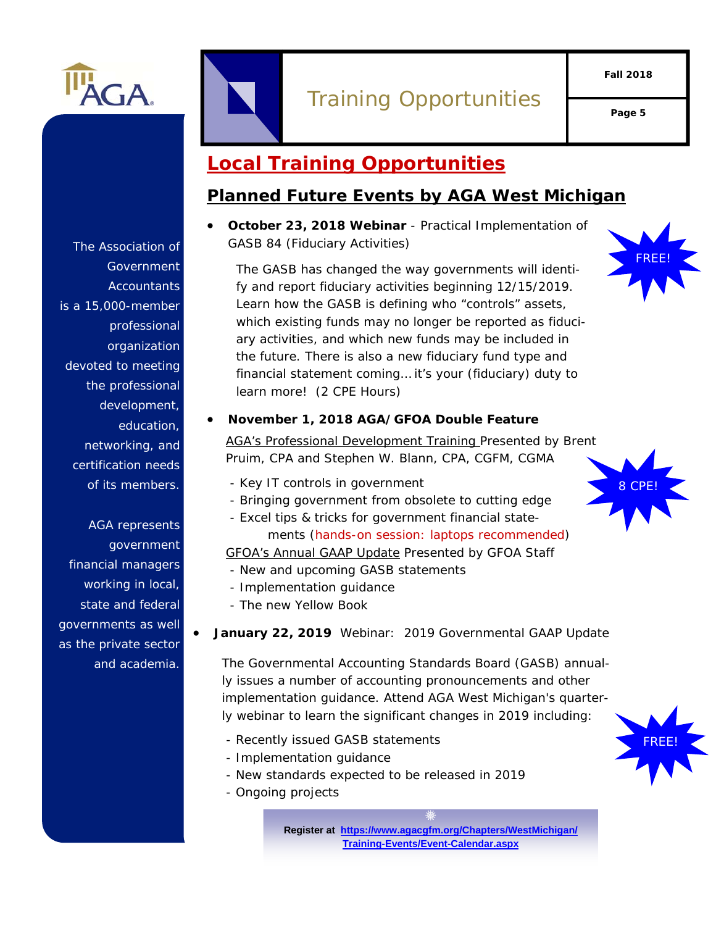

# Training Opportunities

## **Local Training Opportunities**

## **Planned Future Events by AGA West Michigan**

 **October 23, 2018 Webinar** - Practical Implementation of GASB 84 (Fiduciary Activities)



*The GASB has changed the way governments will identify and report fiduciary activities beginning 12/15/2019. Learn how the GASB is defining who "controls" assets, which existing funds may no longer be reported as fiduciary activities, and which new funds may be included in the future. There is also a new fiduciary fund type and financial statement coming… it's your (fiduciary) duty to learn more! (2 CPE Hours)* 

### **November 1, 2018 AGA/GFOA Double Feature**

*AGA's Professional Development Training Presented by Brent Pruim, CPA and Stephen W. Blann, CPA, CGFM, CGMA* 

- *Key IT controls in government*
- *Bringing government from obsolete to cutting edge*
- *Excel tips & tricks for government financial state-*
- *ments (hands-on session: laptops recommended) GFOA's Annual GAAP Update Presented by GFOA Staff*
- *New and upcoming GASB statements*
- *Implementation guidance*
- *The new Yellow Book*

## **January 22, 2019** Webinar: 2019 Governmental GAAP Update

The Governmental Accounting Standards Board (GASB) annually issues a number of accounting pronouncements and other implementation guidance. Attend AGA West Michigan's quarterly webinar to learn the significant changes in 2019 including:

- Recently issued GASB statements
- Implementation guidance
- New standards expected to be released in 2019
- Ongoing projects

**Register at https://www.agacgfm.org/Chapters/WestMichigan/ Training-Events/Event-Calendar.aspx**





Government **Accountants** is a 15,000-member professional organization devoted to meeting the professional development, education, networking, and certification needs of its members.

The Association of

AGA represents government financial managers working in local, state and federal governments as well as the private sector and academia.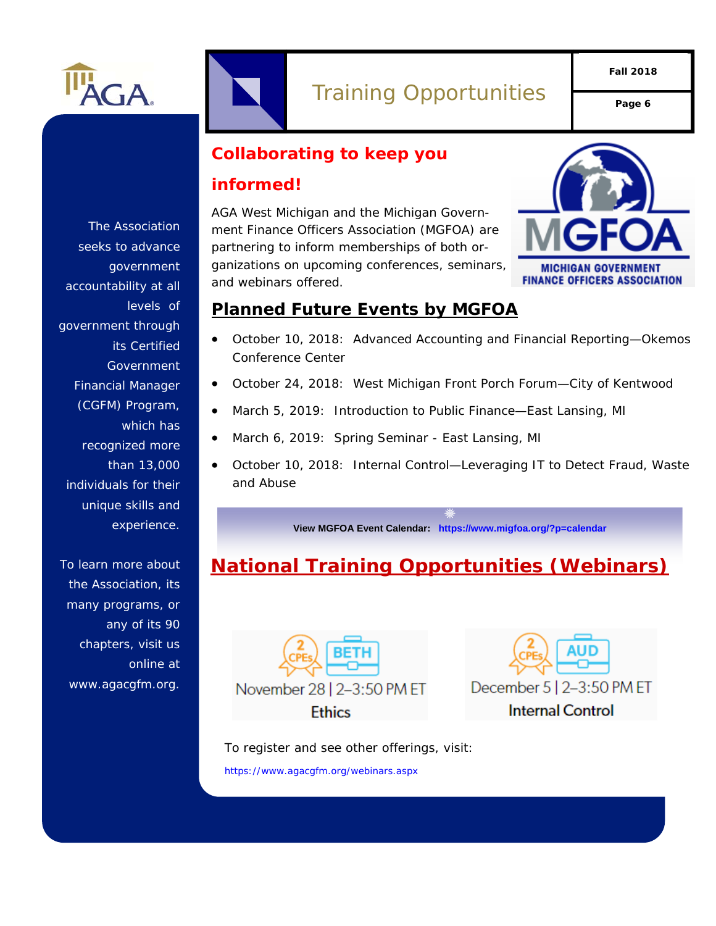

## Training Opportunities **Page 6**

**Fall 2018** 

## **Collaborating to keep you**

## **informed!**

AGA West Michigan and the Michigan Government Finance Officers Association (MGFOA) are partnering to inform memberships of both organizations on upcoming conferences, seminars, and webinars offered.



## **Planned Future Events by MGFOA**

- October 10, 2018: Advanced Accounting and Financial Reporting—Okemos Conference Center
- October 24, 2018: West Michigan Front Porch Forum—City of Kentwood
- March 5, 2019: Introduction to Public Finance—East Lansing, MI
- March 6, 2019: Spring Seminar East Lansing, MI
- October 10, 2018: Internal Control—Leveraging IT to Detect Fraud, Waste and Abuse

**View MGFOA Event Calendar: https://www.migfoa.org/?p=calendar**

## **National Training Opportunities (Webinars)**





To register and see other offerings, visit: https://www.agacgfm.org/webinars.aspx

The Association seeks to advance government accountability at all levels of government through its Certified **Government** Financial Manager (CGFM) Program, which has recognized more than 13,000 individuals for their unique skills and experience.

To learn more about the Association, its many programs, or any of its 90 chapters, visit us online at www.agacgfm.org.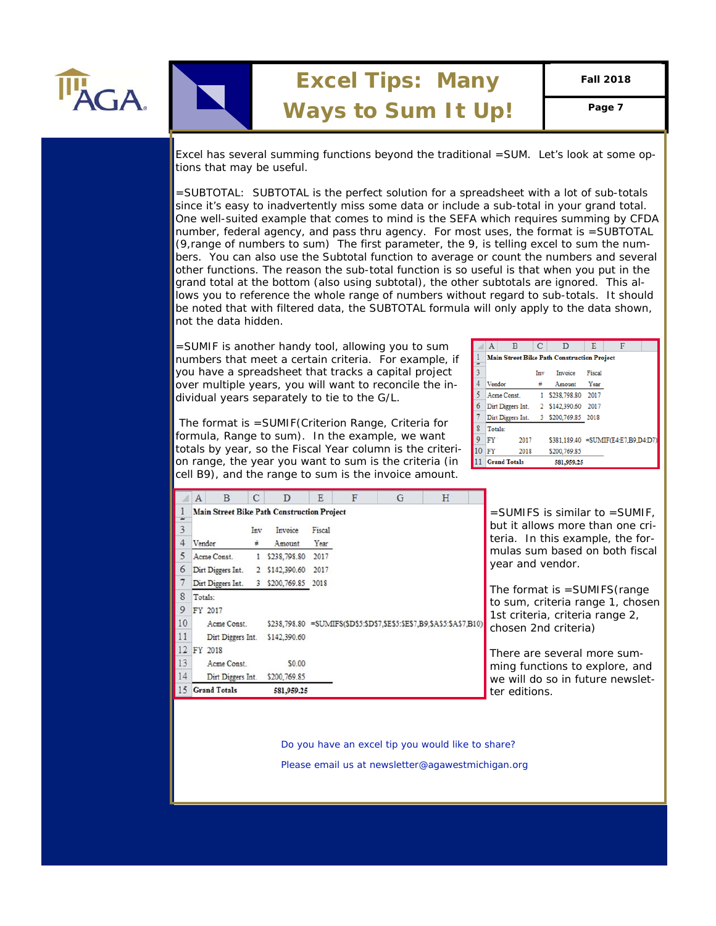

Excel has several summing functions beyond the traditional =SUM. Let's look at some options that may be useful.

=SUBTOTAL: SUBTOTAL is the perfect solution for a spreadsheet with a lot of sub-totals since it's easy to inadvertently miss some data or include a sub-total in your grand total. One well-suited example that comes to mind is the SEFA which requires summing by CFDA number, federal agency, and pass thru agency. For most uses, the format is =SUBTOTAL (9,range of numbers to sum) The first parameter, the 9, is telling excel to sum the numbers. You can also use the Subtotal function to average or count the numbers and several other functions. The reason the sub-total function is so useful is that when you put in the grand total at the bottom (also using subtotal), the other subtotals are ignored. This allows you to reference the whole range of numbers without regard to sub-totals. It should be noted that with filtered data, the SUBTOTAL formula will only apply to the data shown, not the data hidden.

=SUMIF is another handy tool, allowing you to sum numbers that meet a certain criteria. For example, if you have a spreadsheet that tracks a capital project over multiple years, you will want to reconcile the individual years separately to tie to the G/L.

 The format is =SUMIF(Criterion Range, Criteria for formula, Range to sum). In the example, we want totals by year, so the Fiscal Year column is the criterion range, the year you want to sum is the criteria (in cell B9), and the range to sum is the invoice amount.

|    | $\mathbf{A}$                                      | B                   |     | D                                     | Е      | F                                    |  |  |
|----|---------------------------------------------------|---------------------|-----|---------------------------------------|--------|--------------------------------------|--|--|
|    | <b>Main Street Bike Path Construction Project</b> |                     |     |                                       |        |                                      |  |  |
| 3  |                                                   |                     | Inv | Invoice                               | Fiscal |                                      |  |  |
| 4  | Vendor                                            |                     |     | Amount                                | Year   |                                      |  |  |
| 5  |                                                   | Acme Const.         |     | 1 \$238,798.80 2017                   |        |                                      |  |  |
| 6  |                                                   |                     |     | Dirt Diggers Int. 2 \$142,390.60 2017 |        |                                      |  |  |
| 7  |                                                   | Dirt Diggers Int.   |     | 3 \$200,769.85 2018                   |        |                                      |  |  |
| 8  | Totals:                                           |                     |     |                                       |        |                                      |  |  |
| 9  | FY'                                               | 2017                |     |                                       |        | \$381.189.40 = SUMIF(E4:E7.B9.D4:D7) |  |  |
| 10 | FY'                                               | 2018                |     | \$200,769.85                          |        |                                      |  |  |
|    |                                                   | <b>Grand Totals</b> |     | 581,959.25                            |        |                                      |  |  |

|    |                                                   | В                   |     |                   | E                                                                       |  | G | H                    |                                  |                                     |  |  |  |
|----|---------------------------------------------------|---------------------|-----|-------------------|-------------------------------------------------------------------------|--|---|----------------------|----------------------------------|-------------------------------------|--|--|--|
|    | <b>Main Street Bike Path Construction Project</b> |                     |     |                   |                                                                         |  |   |                      |                                  | $=$ SUMIFS is similar to $=$ SUMIF, |  |  |  |
|    |                                                   |                     | Inv | Invoice           | Fiscal                                                                  |  |   |                      |                                  | but it allows more than one cri-    |  |  |  |
|    | Vendor                                            |                     |     | Amount            | Year                                                                    |  |   |                      |                                  | teria. In this example, the for-    |  |  |  |
|    |                                                   | Acme Const.         |     | \$238,798.80 2017 |                                                                         |  |   |                      |                                  | mulas sum based on both fiscal      |  |  |  |
| 6  |                                                   | Dirt Diggers Int.   |     | \$142,390.60      | 2017                                                                    |  |   |                      |                                  | year and vendor.                    |  |  |  |
|    |                                                   | Dirt Diggers Int.   | 3   | \$200,769.85 2018 |                                                                         |  |   |                      |                                  | The format is $=$ SUMIFS (range     |  |  |  |
| 8  | Totals:                                           |                     |     |                   |                                                                         |  |   |                      |                                  | to sum, criteria range 1, chosen    |  |  |  |
| 9  | FY 2017                                           |                     |     |                   |                                                                         |  |   |                      |                                  | 1st criteria, criteria range 2,     |  |  |  |
| 10 |                                                   | Acme Const.         |     |                   | \$238,798.80 = SUMIFS(\$D\$5:\$D\$7,\$E\$5:\$E\$7,B9,\$A\$5:\$A\$7,B10) |  |   | chosen 2nd criteria) |                                  |                                     |  |  |  |
|    |                                                   | Dirt Diggers Int.   |     | \$142,390.60      |                                                                         |  |   |                      |                                  |                                     |  |  |  |
|    | 12 FY 2018                                        |                     |     |                   |                                                                         |  |   |                      |                                  | There are several more sum-         |  |  |  |
| 13 |                                                   | Acme Const.         |     | \$0.00            |                                                                         |  |   |                      |                                  | ming functions to explore, and      |  |  |  |
| 14 |                                                   | Dirt Diggers Int.   |     | \$200,769.85      |                                                                         |  |   |                      | we will do so in future newslet- |                                     |  |  |  |
|    |                                                   | <b>Grand Totals</b> |     | 581,959.25        |                                                                         |  |   |                      |                                  | ter editions.                       |  |  |  |

*Do you have an excel tip you would like to share? Please email us at newsletter@agawestmichigan.org* 

*Do you have an excel tip you would like to share?*